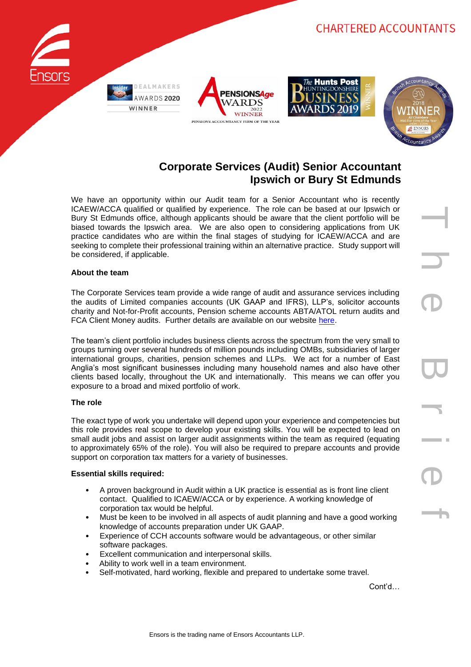



T h e B r i e f

# **Corporate Services (Audit) Senior Accountant Ipswich or Bury St Edmunds**

We have an opportunity within our Audit team for a Senior Accountant who is recently ICAEW/ACCA qualified or qualified by experience. The role can be based at our Ipswich or Bury St Edmunds office, although applicants should be aware that the client portfolio will be biased towards the Ipswich area. We are also open to considering applications from UK practice candidates who are within the final stages of studying for ICAEW/ACCA and are seeking to complete their professional training within an alternative practice. Study support will be considered, if applicable.

## **About the team**

The Corporate Services team provide a wide range of audit and assurance services including the audits of Limited companies accounts (UK GAAP and IFRS), LLP's, solicitor accounts charity and Not-for-Profit accounts, Pension scheme accounts ABTA/ATOL return audits and FCA Client Money audits. Further details are available on our website [here.](https://www.ensors.co.uk/what-we-do/audit-assurance/)

The team's client portfolio includes business clients across the spectrum from the very small to groups turning over several hundreds of million pounds including OMBs, subsidiaries of larger international groups, charities, pension schemes and LLPs. We act for a number of East Anglia's most significant businesses including many household names and also have other clients based locally, throughout the UK and internationally. This means we can offer you exposure to a broad and mixed portfolio of work.

## **The role**

The exact type of work you undertake will depend upon your experience and competencies but this role provides real scope to develop your existing skills. You will be expected to lead on small audit jobs and assist on larger audit assignments within the team as required (equating to approximately 65% of the role). You will also be required to prepare accounts and provide support on corporation tax matters for a variety of businesses.

## **Essential skills required:**

- A proven background in Audit within a UK practice is essential as is front line client contact. Qualified to ICAEW/ACCA or by experience. A working knowledge of corporation tax would be helpful.
- Must be keen to be involved in all aspects of audit planning and have a good working knowledge of accounts preparation under UK GAAP.
- Experience of CCH accounts software would be advantageous, or other similar software packages.
- Excellent communication and interpersonal skills.
- Ability to work well in a team environment.
- Self-motivated, hard working, flexible and prepared to undertake some travel.

Cont'd…